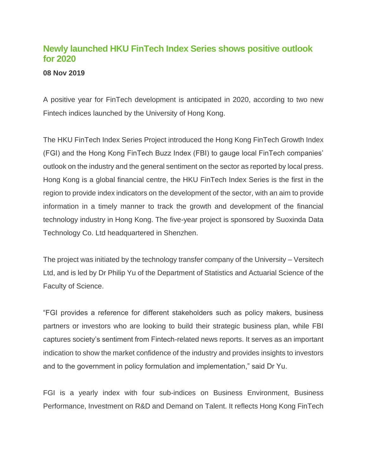## **Newly launched HKU FinTech Index Series shows positive outlook for 2020**

## **08 Nov 2019**

A positive year for FinTech development is anticipated in 2020, according to two new Fintech indices launched by the University of Hong Kong.

The HKU FinTech Index Series Project introduced the Hong Kong FinTech Growth Index (FGI) and the Hong Kong FinTech Buzz Index (FBI) to gauge local FinTech companies' outlook on the industry and the general sentiment on the sector as reported by local press. Hong Kong is a global financial centre, the HKU FinTech Index Series is the first in the region to provide index indicators on the development of the sector, with an aim to provide information in a timely manner to track the growth and development of the financial technology industry in Hong Kong. The five-year project is sponsored by Suoxinda Data Technology Co. Ltd headquartered in Shenzhen.

The project was initiated by the technology transfer company of the University – Versitech Ltd, and is led by Dr Philip Yu of the Department of Statistics and Actuarial Science of the Faculty of Science.

"FGI provides a reference for different stakeholders such as policy makers, business partners or investors who are looking to build their strategic business plan, while FBI captures society's sentiment from Fintech-related news reports. It serves as an important indication to show the market confidence of the industry and provides insights to investors and to the government in policy formulation and implementation," said Dr Yu.

FGI is a yearly index with four sub-indices on Business Environment, Business Performance, Investment on R&D and Demand on Talent. It reflects Hong Kong FinTech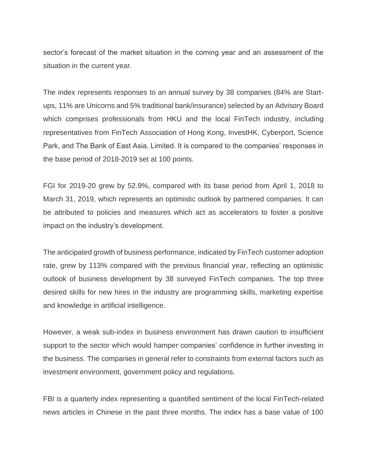sector's forecast of the market situation in the coming year and an assessment of the situation in the current year.

The index represents responses to an annual survey by 38 companies (84% are Startups, 11% are Unicorns and 5% traditional bank/insurance) selected by an Advisory Board which comprises professionals from HKU and the local FinTech industry, including representatives from FinTech Association of Hong Kong, InvestHK, Cyberport, Science Park, and The Bank of East Asia, Limited. It is compared to the companies' responses in the base period of 2018-2019 set at 100 points.

FGI for 2019-20 grew by 52.9%, compared with its base period from April 1, 2018 to March 31, 2019, which represents an optimistic outlook by partnered companies. It can be attributed to policies and measures which act as accelerators to foster a positive impact on the industry's development.

The anticipated growth of business performance, indicated by FinTech customer adoption rate, grew by 113% compared with the previous financial year, reflecting an optimistic outlook of business development by 38 surveyed FinTech companies. The top three desired skills for new hires in the industry are programming skills, marketing expertise and knowledge in artificial intelligence.

However, a weak sub-index in business environment has drawn caution to insufficient support to the sector which would hamper companies' confidence in further investing in the business. The companies in general refer to constraints from external factors such as investment environment, government policy and regulations.

FBI is a quarterly index representing a quantified sentiment of the local FinTech-related news articles in Chinese in the past three months. The index has a base value of 100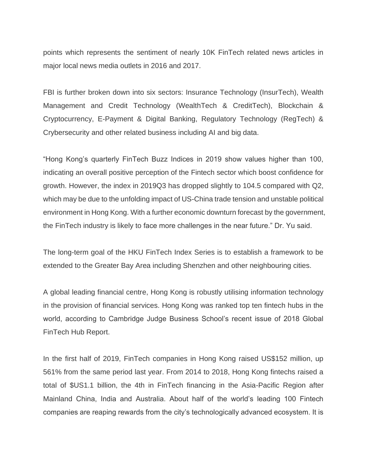points which represents the sentiment of nearly 10K FinTech related news articles in major local news media outlets in 2016 and 2017.

FBI is further broken down into six sectors: Insurance Technology (InsurTech), Wealth Management and Credit Technology (WealthTech & CreditTech), Blockchain & Cryptocurrency, E-Payment & Digital Banking, Regulatory Technology (RegTech) & Crybersecurity and other related business including AI and big data.

"Hong Kong's quarterly FinTech Buzz Indices in 2019 show values higher than 100, indicating an overall positive perception of the Fintech sector which boost confidence for growth. However, the index in 2019Q3 has dropped slightly to 104.5 compared with Q2, which may be due to the unfolding impact of US-China trade tension and unstable political environment in Hong Kong. With a further economic downturn forecast by the government, the FinTech industry is likely to face more challenges in the near future." Dr. Yu said.

The long-term goal of the HKU FinTech Index Series is to establish a framework to be extended to the Greater Bay Area including Shenzhen and other neighbouring cities.

A global leading financial centre, Hong Kong is robustly utilising information technology in the provision of financial services. Hong Kong was ranked top ten fintech hubs in the world, according to Cambridge Judge Business School's recent issue of 2018 Global FinTech Hub Report.

In the first half of 2019, FinTech companies in Hong Kong raised US\$152 million, up 561% from the same period last year. From 2014 to 2018, Hong Kong fintechs raised a total of \$US1.1 billion, the 4th in FinTech financing in the Asia-Pacific Region after Mainland China, India and Australia. About half of the world's leading 100 Fintech companies are reaping rewards from the city's technologically advanced ecosystem. It is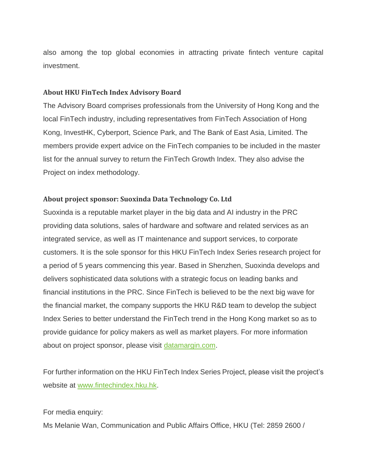also among the top global economies in attracting private fintech venture capital investment.

## **About HKU FinTech Index Advisory Board**

The Advisory Board comprises professionals from the University of Hong Kong and the local FinTech industry, including representatives from FinTech Association of Hong Kong, InvestHK, Cyberport, Science Park, and The Bank of East Asia, Limited. The members provide expert advice on the FinTech companies to be included in the master list for the annual survey to return the FinTech Growth Index. They also advise the Project on index methodology.

## **About project sponsor: Suoxinda Data Technology Co. Ltd**

Suoxinda is a reputable market player in the big data and AI industry in the PRC providing data solutions, sales of hardware and software and related services as an integrated service, as well as IT maintenance and support services, to corporate customers. It is the sole sponsor for this HKU FinTech Index Series research project for a period of 5 years commencing this year. Based in Shenzhen, Suoxinda develops and delivers sophisticated data solutions with a strategic focus on leading banks and financial institutions in the PRC. Since FinTech is believed to be the next big wave for the financial market, the company supports the HKU R&D team to develop the subject Index Series to better understand the FinTech trend in the Hong Kong market so as to provide guidance for policy makers as well as market players. For more information about on project sponsor, please visit [datamargin.com.](http://datamargin.com/)

For further information on the HKU FinTech Index Series Project, please visit the project's website at [www.fintechindex.hku.hk.](http://www.fintechindex.hku.hk/)

For media enquiry:

Ms Melanie Wan, Communication and Public Affairs Office, HKU (Tel: 2859 2600 /